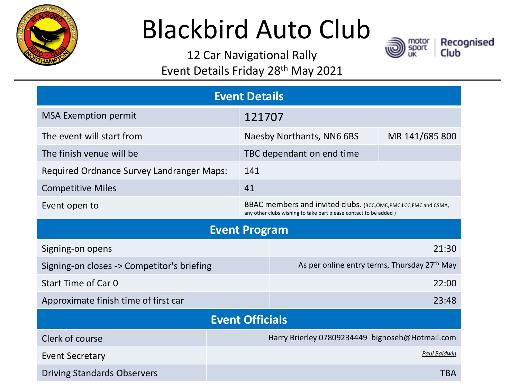

# Blackbird Auto Club

12 Car Navigational Rally Event Details Friday 28th May 2021

| <b>Event Details</b>                       |                                                 |                                                                                                                                        |            |  |
|--------------------------------------------|-------------------------------------------------|----------------------------------------------------------------------------------------------------------------------------------------|------------|--|
| <b>MSA Exemption permit</b>                |                                                 | 121707                                                                                                                                 |            |  |
| The event will start from                  |                                                 | Naesby Northants, NN6 6BS<br>MR 141/685 800                                                                                            |            |  |
| The finish venue will be                   |                                                 | TBC dependant on end time                                                                                                              |            |  |
| Required Ordnance Survey Landranger Maps:  | 141                                             |                                                                                                                                        |            |  |
| <b>Competitive Miles</b>                   | 41                                              |                                                                                                                                        |            |  |
| Event open to                              |                                                 | BBAC members and invited clubs. (BCC, OMC, PMC, LCC, FMC and CSMA,<br>any other clubs wishing to take part please contact to be added) |            |  |
| <b>Event Program</b>                       |                                                 |                                                                                                                                        |            |  |
| Signing-on opens                           |                                                 | 21:30                                                                                                                                  |            |  |
| Signing-on closes -> Competitor's briefing |                                                 | As per online entry terms, Thursday 27th May                                                                                           |            |  |
| Start Time of Car 0                        |                                                 | 22:00                                                                                                                                  |            |  |
| Approximate finish time of first car       |                                                 | 23:48                                                                                                                                  |            |  |
| <b>Event Officials</b>                     |                                                 |                                                                                                                                        |            |  |
| Clerk of course                            | Harry Brierley 07809234449 bignoseh@Hotmail.com |                                                                                                                                        |            |  |
| <b>Event Secretary</b>                     | <b>Paul Baldwin</b>                             |                                                                                                                                        |            |  |
| <b>Driving Standards Observers</b>         |                                                 |                                                                                                                                        | <b>TBA</b> |  |

Recognised<br>Club

motor<br>sport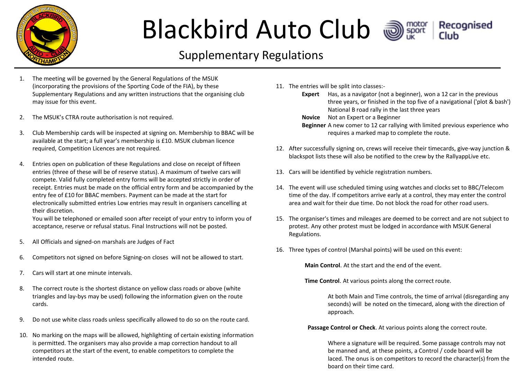

### Blackbird Auto Club a



#### Supplementary Regulations

- 1. The meeting will be governed by the General Regulations of the MSUK (incorporating the provisions of the Sporting Code of the FIA), by these Supplementary Regulations and any written instructions that the organising club may issue for this event.
- 2. The MSUK's CTRA route authorisation is not required.
- 3. Club Membership cards will be inspected at signing on. Membership to BBAC will be available at the start; a full year's membership is £10. MSUK clubman licence required, Competition Licences are not required.
- 4. Entries open on publication of these Regulations and close on receipt of fifteen entries (three of these will be of reserve status). A maximum of twelve cars will compete. Valid fully completed entry forms will be accepted strictly in order of receipt. Entries must be made on the official entry form and be accompanied by the entry fee of £10 for BBAC members. Payment can be made at the start for electronically submitted entries Low entries may result in organisers cancelling at their discretion.

You will be telephoned or emailed soon after receipt of your entry to inform you of acceptance, reserve or refusal status. Final Instructions will not be posted.

- 5. All Officials and signed-on marshals are Judges of Fact
- 6. Competitors not signed on before Signing-on closes will not be allowed to start.
- 7. Cars will start at one minute intervals.
- 8. The correct route is the shortest distance on yellow class roads or above (white triangles and lay-bys may be used) following the information given on the route cards.
- 9. Do not use white class roads unless specifically allowed to do so on the route card.
- 10. No marking on the maps will be allowed, highlighting of certain existing information is permitted. The organisers may also provide a map correction handout to all competitors at the start of the event, to enable competitors to complete the intended route.
- 11. The entries will be split into classes:-
	- **Expert** Has, as a navigator (not a beginner), won a 12 car in the previous three years, or finished in the top five of a navigational ('plot & bash') National B road rally in the last three years
	- **Novice** Not an Expert or a Beginner
	- **Beginner** A new comer to 12 car rallying with limited previous experience who requires a marked map to complete the route.
- 12. After successfully signing on, crews will receive their timecards, give-way junction & blackspot lists these will also be notified to the crew by the RallyappLive etc.
- 13. Cars will be identified by vehicle registration numbers.
- 14. The event will use scheduled timing using watches and clocks set to BBC/Telecom time of the day. If competitors arrive early at a control, they may enter the control area and wait for their due time. Do not block the road for other road users.
- 15. The organiser's times and mileages are deemed to be correct and are not subject to protest. Any other protest must be lodged in accordance with MSUK General Regulations.
- 16. Three types of control (Marshal points) will be used on this event:

**Main Control**. At the start and the end of the event.

**Time Control**. At various points along the correct route.

At both Main and Time controls, the time of arrival (disregarding any seconds) will be noted on the timecard, along with the direction of approach.

**Passage Control or Check**. At various points along the correct route.

Where a signature will be required. Some passage controls may not be manned and, at these points, a Control / code board will be laced. The onus is on competitors to record the character(s) from the board on their time card.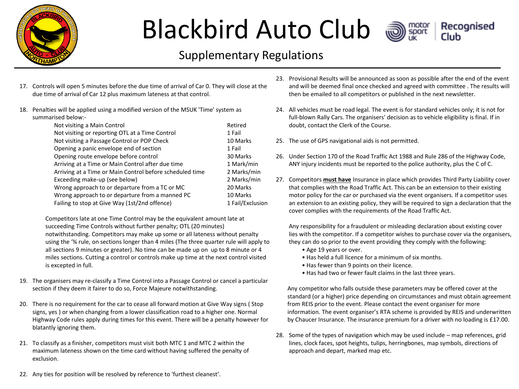

## Blackbird Auto Club a



#### Supplementary Regulations

- 17. Controls will open 5 minutes before the due time of arrival of Car 0. They will close at the due time of arrival of Car 12 plus maximum lateness at that control.
- 18. Penalties will be applied using a modified version of the MSUK 'Time' system as summarised below:-

| Not visiting a Main Control                              | Retired          |
|----------------------------------------------------------|------------------|
| Not visiting or reporting OTL at a Time Control          | 1 Fail           |
| Not visiting a Passage Control or POP Check              | 10 Marks         |
| Opening a panic envelope end of section                  | 1 Fail           |
| Opening route envelope before control                    | 30 Marks         |
| Arriving at a Time or Main Control after due time        | 1 Mark/min       |
| Arriving at a Time or Main Control before scheduled time | 2 Marks/min      |
| Exceeding make-up (see below)                            | 2 Marks/min      |
| Wrong approach to or departure from a TC or MC           | 20 Marks         |
| Wrong approach to or departure from a manned PC          | 10 Marks         |
| Failing to stop at Give Way (1st/2nd offence)            | 1 Fail/Exclusion |

Competitors late at one Time Control may be the equivalent amount late at succeeding Time Controls without further penalty; OTL (20 minutes) notwithstanding. Competitors may make up some or all lateness without penalty using the '¾ rule, on sections longer than 4 miles (The three quarter rule will apply to all sections 9 minutes or greater). No time can be made up on up to 8 minute or 4 miles sections. Cutting a control or controls make up time at the next control visited is excepted in full.

- 19. The organisers may re-classify a Time Control into a Passage Control or cancel a particular section if they deem it fairer to do so, Force Majeure notwithstanding.
- 20. There is no requirement for the car to cease all forward motion at Give Way signs ( Stop signs, yes ) or when changing from a lower classification road to a higher one. Normal Highway Code rules apply during times for this event. There will be a penalty however for blatantly ignoring them.
- 21. To classify as a finisher, competitors must visit both MTC 1 and MTC 2 within the maximum lateness shown on the time card without having suffered the penalty of exclusion.
- 22. Any ties for position will be resolved by reference to 'furthest cleanest'.
- 23. Provisional Results will be announced as soon as possible after the end of the event and will be deemed final once checked and agreed with committee . The results will then be emailed to all competitors or published in the next newsletter.
- 24. All vehicles must be road legal. The event is for standard vehicles only; it is not for full-blown Rally Cars. The organisers' decision as to vehicle eligibility is final. If in doubt, contact the Clerk of the Course.
- 25. The use of GPS navigational aids is not permitted.
- 26. Under Section 170 of the Road Traffic Act 1988 and Rule 286 of the Highway Code, ANY injury incidents must be reported to the police authority, plus the C of C.
- 27. Competitors **must have** Insurance in place which provides Third Party Liability cover that complies with the Road Traffic Act. This can be an extension to their existing motor policy for the car or purchased via the event organisers. If a competitor uses an extension to an existing policy, they will be required to sign a declaration that the cover complies with the requirements of the Road Traffic Act.

Any responsibility for a fraudulent or misleading declaration about existing cover lies with the competitor. If a competitor wishes to purchase cover via the organisers, they can do so prior to the event providing they comply with the following:

- Age 19 years or over.
- Has held a full licence for a minimum of six months.
- Has fewer than 9 points on their licence.
- Has had two or fewer fault claims in the last three years.

Any competitor who falls outside these parameters may be offered cover at the standard (or a higher) price depending on circumstances and must obtain agreement from REIS prior to the event. Please contact the event organiser for more information. The event organiser's RTA scheme is provided by REIS and underwritten by Chaucer Insurance. The insurance premium for a driver with no loading is £17.00.

28. Some of the types of navigation which may be used include – map references, grid lines, clock faces, spot heights, tulips, herringbones, map symbols, directions of approach and depart, marked map etc.